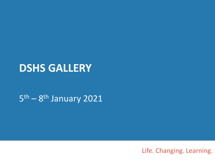# **DSHS GALLERY**

5<sup>th</sup> – 8<sup>th</sup> January 2021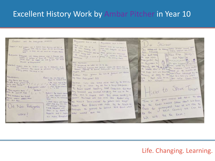## Excellent History Work by Ambar Pitcher in Year 10

Againment that is this Combined and the fortunation contents Pinguament, mus., is then is Stürmer  $\frac{1}{\sqrt{2}}\int_{\mathbb{R}^d}\frac{1}{\sqrt{2\pi}\left(\frac{1}{\sqrt{2}}\right)^{d-1}}\frac{1}{\sqrt{2\pi}}\frac{1}{\sqrt{2\pi}}\frac{1}{\sqrt{2\pi}}\frac{1}{\sqrt{2\pi}}\frac{1}{\sqrt{2\pi}}\frac{1}{\sqrt{2\pi}}\frac{1}{\sqrt{2\pi}}\frac{1}{\sqrt{2\pi}}\frac{1}{\sqrt{2\pi}}\frac{1}{\sqrt{2\pi}}\frac{1}{\sqrt{2\pi}}\frac{1}{\sqrt{2\pi}}\frac{1}{\sqrt{2\pi}}\frac{1}{\sqrt{2\pi}}$ **EC** Comment Carm an Excel Manyor Goganith Port Guidelli was a Service Mass Service and book of  $\begin{picture}(180,10) \put(0,0){\vector(1,0){100}} \put(10,0){\vector(1,0){100}} \put(10,0){\vector(1,0){100}} \put(10,0){\vector(1,0){100}} \put(10,0){\vector(1,0){100}} \put(10,0){\vector(1,0){100}} \put(10,0){\vector(1,0){100}} \put(10,0){\vector(1,0){100}} \put(10,0){\vector(1,0){100}} \put(10,0){\vector(1,0){100}} \put(10,0){\vector(1,0){100}}$ Jew ARRESTED for owners Come accessor traced where The company of the company of the company Referance from 1945 to 1945-1 Mt and me of the money Centre exterior non five Chance to have not use moments for paid theme teaz: Pistamedo New FIM WERD 1 Jew fund means as over plaz. OUR NOUSIAL Ropagnodal This Minima as Engravement FRANCIST SARE Black Chemina to dominan to Conservati commercial come la conservation por proposario in an To homemake the higher his not be deed Steccare after the TEL Blow, weaven't The company and the service company when the most company and the company of the company and the company and the company and the company and the company and the company of the company and the company of the company of the Luis mine with tremands then should be purcoast to they form? do would also in and any load on the supply of property property and the property of the think things to hill hore and was drowing based on the turned by the<br>thinking of learly the sound bush from schoolage by the region are.<br>Extrem how gener an act of Jerusal will allow NEWSPARING Stop and Drive Jour 10 Cas Cheora Ment. THING'S I AW YOU BUS WERE by Nati Peaps game? [1] WW Oldy Darries that America Distance No. Horsestern Write. that actions. O.P. German wars was word while down by the birthday as give any moment \* PA: 40 MA PAR TA ONE dating were moved as I I I I I I I I I was took a wind Fitter to Speak Tonight way to which any did the is there compared . Ork - Riolagansa under = "I had the immer be ground. The Nursa Created Something GUIN Ceranistics This More Mong experience would IT **DIENVILLE** Ony Commed and Checked Worthing That was an The Mass. By Jamil Life. Bund.  $1$ Radio : - The Wazik Comm Any Meadows that friend radio and in creative cast This means excellent as Ture in an Hour radial and teller to little an man baskets white state and to fire within the Starica www.vc yearch stress general anulleurs with these entire some flootbes way **TAXAL** Ture in on your cadios we about his fixed alley don't them. the Nazia Brain wouldn't be general mere moogle . Clear the as were through to be function himself steam was the to White Coup any Stations Posses These formers were made by the Neglis to Ud Nazi Prolaganda Posses These posees we believe and short what Also kisshall from a Plair = as deducts in be the himer witnessed paint can be the will be the best ! Superiors and in Copta Wark ? air vadios Bendeur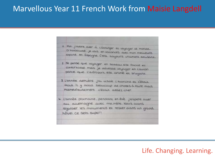## Marvellous Year 11 French Work from Maisie Langdell

1 Moi. j'adore airer à l'étranger et voyager le monde. D'habituale je vais en vacances avec mon meilleure copine en Espagne C'est toujours vroument amusant. 2 Je pense que voyager en bateau est facile et confortable mais je déteste voyager en l'avion parce que l'aéroport est animé et bruyant. 3 L'année dernière j'ai visité l'Autriche et c'était Froid IL y avait beaucoup de choses à faire mais maineureusement c'était assez cher. 4 L'année prochaine, pendant en évé j'espere aver au allemagne avec mamère. Nous allons regarder les monuments et rester dans un grand hôtel ce sera super!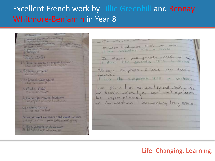# Excellent French work by Lillie Greenhill and Rennay Whitmore-Benjamin in Year 8

**STAR TANAGEMENT** Il puncono paviricant - ex-iting 1- Marront-Survey watercrant interceiving graffield curry  $R - r(R) + r_{R+1}$  $b - h$ ien - good e-pan made rot bad & Ennugence (etail it was b). Quiest- ce que ta an-regarde hier soir what did now secret link right ? c 2. Cetail comment! May a come of a anime. a 3. Cetail a quelle reuse" What time was it? a betail a 19430 Versol 7:30pm les informations b. Hier soir joi regarde East Enders Last night, i undersed Eastburgers C. Le n'etait pas mod it was not for bod Her soir for regards who send to meet more morning Love middle, I would lead to seemed Series, all worth gamma, A BAYE joil regards un dissuin anime At \$6:45pm, Luptched animation

Jedore Easterders. C'est une série Llove costerates. It's a series Je n'aime pas friends. C'est un série Jadore simpsons. C'est un dessin I love the simpsons. It's a carboon. une série a series Friend, Hollycats un documentaire documentary tray means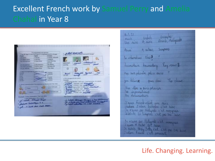# Excellent French work by Samuel Perry and Amelia Chahal in Year 8



| 6.1, 21<br>Examples -<br>Frances, Hollycocks<br>English<br>French<br>Vere sine                                                        |
|---------------------------------------------------------------------------------------------------------------------------------------|
| Anné<br>A ratoon<br>Sumports                                                                                                          |
| to internations New ?                                                                                                                 |
| Townwhaie townwhay Tay measure<br>Mar ana polinière police series                                                                     |
| you televise game show The chase                                                                                                      |
| the Bar a sineplicial<br>les informations                                                                                             |
| Un documentarie<br>J'anne Friend - Ust une danc                                                                                       |
| Sudare Sudare Enterthe c'est bien<br>Je alaxone pour Multipeaks ellest envisionement.<br>Sitetrate de Lampsony c'est pour lors linear |
| Se n'avage par Helbysaki whit envangement                                                                                             |
| Sadore Frank well annuare                                                                                                             |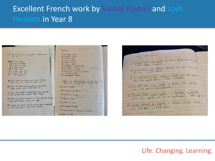# Excellent French work by Vinnie Paxton and Josh Hewlett in Year 8

|                                                                                       | pritti di                                         |
|---------------------------------------------------------------------------------------|---------------------------------------------------|
|                                                                                       |                                                   |
| I and not exercise a nord was a subscription                                          | $1/44$ , <i>impair</i> = Chatta.                  |
| died men.                                                                             | 1) is posted in advances                          |
|                                                                                       | 5) in fallent fill                                |
| <b>POLITIC INCH.</b>                                                                  | $D$ is last $\pi$ mility.                         |
| G I doe fift fuller                                                                   | 53 is pain a borond                               |
| 121 2 down Life ages                                                                  | 6 le junior - butter                              |
| Q + CH AVAL                                                                           | 7) in contribute to be delivered and              |
| <b>CD</b> I like most                                                                 | R. Co., should a mount                            |
| 10 I done live with                                                                   | $9.16 + 1244 = 1224$                              |
| C. I. diet., UM. Jan.                                                                 | 10) Its permanent are being a probability         |
| O I am agussis                                                                        | (1) for except to appel                           |
|                                                                                       | (Is) is extremed & most                           |
|                                                                                       |                                                   |
| 1) Saints last over 3 riched just to just dilarioge                                   | I later at the greater but and, and west trave to |
| I can write he I don't can compe that                                                 | Sup 2 Uhr 2 performand & don't like               |
| 1) Juine de parisat mais ja mine par la person<br>3 Udie Chinan but 3 doct Cale della |                                                   |
|                                                                                       | D.T. said to put it                               |
|                                                                                       |                                                   |
|                                                                                       | Other win por the learner                         |
| 1 There less present mile primitive pas le terrible                                   |                                                   |
| a tiles piece but I don't like swakes                                                 | D'immer pas les neurs                             |
|                                                                                       |                                                   |
| @ Jaisne as powers are here will fe a sind por lasses                                 | () Julian Le Azza                                 |
| I team polation dust I done like appe                                                 |                                                   |
|                                                                                       | 5 Teim In Wader                                   |
| @ I ame to first out practice por cor example                                         |                                                   |
|                                                                                       | 6) Thraimpes a laid                               |
| I Use chief but I done time Spinster                                                  |                                                   |
|                                                                                       | 7) tempor put la confitum a la scalle             |
|                                                                                       |                                                   |
|                                                                                       | <b><i><u><i>Pittore</i></u></i></b> Co. pain      |

| more to serve junior                                                                                                   |
|------------------------------------------------------------------------------------------------------------------------|
| Il Pureal Route l'ai reporter qui son le titurem voie can au                                                           |
| 2 event derive the regular & therewere the date arise one<br>3) Le world Power the regarder to themen for some putient |
| 4) Le with div Jail regule L Wooder ve donnetime                                                                       |
| 9) Biroch Deriv Jaion symbol le blartain biologisch                                                                    |
|                                                                                                                        |
| 6) Sandi derrier fai regarde le thérisier en ja tilesie.<br>avec ren par , Cértail bain                                |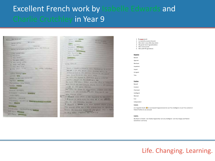## **Excellent French work by** abelle Edwards and in Year 9

| 67.5 Die Aurorat?                               |
|-------------------------------------------------|
| <b>NIS LATITIE</b><br>devou - In mis            |
| $3.6604 + F$<br><b>TELEVIS</b><br>TPOTE / BY    |
|                                                 |
| anice is misservive brund to ware: ind forming. |
| i mus sannit-erri                               |
| E THE FEHR                                      |
| I HADALTITUGUTL                                 |
| <b>H. Phill Cervil - Castlett</b>               |
| B. POX: SPANIE: PORTS                           |
| b. Philips and point                            |
| Fighting Street (Street                         |
| - LINGE FROUGHE<br>I HIL POINT FILM             |
|                                                 |
| orbre - Genna r dalv                            |
| sirmes and                                      |
| THING WAS LITTLE FOR THE                        |
| <b>POSITIV - WALESNIE</b>                       |
| Parrowings (Copy (Sigiri)                       |
| <b>NUMBER ROOMS</b>                             |
| <b>Sensinia</b> r                               |
| <b>BEFORE - GITOSONI</b>                        |
| SINGULU - ILUDGBYK - PISMOS                     |
| <b>HITE BILLSONN</b>                            |
| <b>INTERGRIL A JUGUEL</b>                       |
| <b>Charman Countrys Rosing Linksenthungun</b>   |
| <b>FIGHT - PERIOD</b>                           |
| E412 Bit my                                     |
| LYD VOLLEIUT - NO IDWOTN-RG / GODNO             |
| <b>U DY FINISH REMAINS</b>                      |
| <b>GRAVITAL SONDITOR</b>                        |
|                                                 |

|              | GETTY PUTTI BRIDGE                                                                          | POTER CTN AND        |                                  |
|--------------|---------------------------------------------------------------------------------------------|----------------------|----------------------------------|
|              | IN YOU'LL THROUGHOUSE                                                                       | the R Links - Birked |                                  |
|              | <b>AMES</b><br><b>FILALE TEALONESS</b>                                                      |                      |                                  |
|              | Group the Mondayay                                                                          |                      |                                  |
|              | Archive, MANAGER 1996 p.                                                                    |                      |                                  |
|              | A WILL FIRST THE MAINTENANCE                                                                |                      |                                  |
|              | pure. "BE OF IT'S FRANK                                                                     |                      |                                  |
|              | L FAULT BAUDELIN                                                                            |                      |                                  |
|              |                                                                                             |                      |                                  |
|              | <b>IMBROSTS</b><br><b><i>WIELENT</i></b>                                                    |                      |                                  |
|              |                                                                                             |                      |                                  |
|              | Mill Ellimont &                                                                             |                      |                                  |
|              |                                                                                             |                      |                                  |
|              |                                                                                             |                      |                                  |
|              | Court - L'impartèrez Brand es adults mustanniste, al littere                                |                      |                                  |
|              | pos new it a = Will Wiled create and the Phi mercility of                                   |                      |                                  |
|              | nominate the a les curebas routes as yet uses?                                              |                      |                                  |
|              | VALUE AND DESIGN ON THE WAIST TOWN                                                          |                      |                                  |
|              | sig more was exmos or assessed mile a richten                                               |                      |                                  |
|              | Enevely month at Peristiwe Stor, No                                                         |                      |                                  |
|              | By Ford Pool Poul - Spool City #54 Leve to minutes                                          |                      |                                  |
|              | Elle Porte una 1904 Bien de Jaune, Elle & 149 Sheets                                        |                      |                                  |
|              | LONGO #1 1978 UPUA CODIFIES                                                                 |                      |                                  |
|              | <b>COMMERCIATE</b>                                                                          |                      |                                  |
|              | MON FEETS IN SAGE TO CREATING I NOOTE MAN FALL                                              |                      |                                  |
|              | FIRTE- IL G. LES CHEVYSUS OUSSI TRINITER PL. LES                                            |                      |                                  |
| <b>ITG #</b> | <b><i>WOUN PROTECTS EXISTENT</i></b>                                                        |                      |                                  |
| ы            | If because minn sore it successfully as roughly                                             |                      |                                  |
|              | IL P ROTE U LIN POLD REPLE EN THEN . BI A THE CHAN-                                         |                      | <b><i><u>UNIQUE VINE</u></i></b> |
|              | VITE BE LUG CHAVELS, WAITER                                                                 |                      |                                  |
|              | A SQUEWE II GAVES & G. MOR STORE FRITT & Syn-                                               |                      |                                  |
|              | <b>Barrowski and the Content</b><br>TWH Grand - Dine can it the browning or to genere.      |                      |                                  |
|              | ERE G'ITE CHEVEUX NIGHT EN 19% YOURS WITH IN DOM                                            |                      |                                  |
|              | <b>CONTRACTOR IN BUILDINGS OF THE ABOVE AND INCOME.</b><br>Un More 0398 1'00018 CHG FORNIST |                      |                                  |
|              |                                                                                             |                      |                                  |

### 1. La tapta (aunt)

- 2. La cousin/la cousine (Cousin)
- 3. Mon demi-soeur (My step sister)
- 4. Ma grand-mere? (grandmother)
- 5. Mon oncle (uncle)
- 6. Mon petit-fils (grandson)

Negative Bayard Agacant Mechant Impatient Impoli Arrogant Positive Bavard Content Charmant Intelligent Marrant Independent French: Je m'appelle Charlie (C) Je suis bavard! Apparemment Je suis Tres intelligent. Je suis Tres content et Patient Parfois Je suis amusant

### English:

Fort

Tetu

My Name Is Charlie. I am Chatty! Apparently I am very intelligent. I am Very Happy and Patient Sometimes I am funny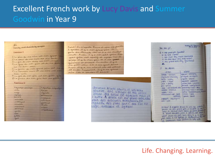# **Excellent French work by Lucy Davis and Summer** Goodwin in Year 9

### Earning and describing people

### Everesell

- I he sere as me ners est mor grand.
- it is sound do no more set me some
- I had the more made the more access The file de non pier et de se belle
- sen on derne some
- I hadred the non grand-per will me
- all a concer not de re dire est no hear good
- n he just de mon file est own petit file
- Il a ferrone die mon july art ma fetale

### *Exercise 2*

| Adjectifs positive     | Adjustific sugary |
|------------------------|-------------------|
| $A$ or the $A$         | traids            |
| <b>Logs</b>            | agouts            |
| Augman                 | <b>AMCREALANT</b> |
| <b>Belowman</b>        | Arrygant          |
| <b>Australia</b>       | <b>SAMULUM</b>    |
| intelligent            |                   |
| معاملته                | True              |
| <b><i>Aharmans</i></b> | william           |
| <b>MARINE</b>          |                   |
| gerited.               | mestione          |
| <b>Look</b>            |                   |
| maria                  |                   |
| April 1                |                   |

Solut! to m'appelle Bound et vici no famille a gauche, il y a mon grand pine Il porte des vitements me et il a les cheveux courts. A usein it you non petit joine Mor peut frere set apartif et sympa dur la photo, it is a more per it it is go gereven at someone Au centre, it y a me petit even I the a her your knee Aussi, shop a mamerial elle set patient it inde by devent, it you as great nere till a counter it haven

> cheveux crunt courts et un bea sourire. Elle s'occupé de ma pe socur. Ma socur est agasant m l'aime A droite est ma grand-me fait des biscuits incrovaisses E regarde des rims avec moi El sage aimable et sympal

|                                                     | Gu sui it                                                                                                                                                                                                                                                                      | Besting on Breast                                                                                                                                                                                                                                                                                                                            |
|-----------------------------------------------------|--------------------------------------------------------------------------------------------------------------------------------------------------------------------------------------------------------------------------------------------------------------------------------|----------------------------------------------------------------------------------------------------------------------------------------------------------------------------------------------------------------------------------------------------------------------------------------------------------------------------------------------|
|                                                     | 4) a mon quand-père fiquentes)<br>of me tank ( quest)<br>c. men cousin days cousin masteriang<br>I ma dem serut (my erop sested)<br>t. ma grand men imy grandmal                                                                                                               |                                                                                                                                                                                                                                                                                                                                              |
|                                                     | $27 - 162$ $00)(0102$                                                                                                                                                                                                                                                          |                                                                                                                                                                                                                                                                                                                                              |
|                                                     | prisibility.                                                                                                                                                                                                                                                                   | <b>REQUIRES</b>                                                                                                                                                                                                                                                                                                                              |
| tite<br>$a_{15}$ $e$<br><i>ruchle</i><br>$e$ $e$ st | aimatic - likecovic<br>charmant schusming<br>drole - Falmy<br>$mid$ $-$ lower<br>$post - stop$<br>Stirog-ing<br>impe - us ir pehaved, were<br>sensitive - sensitive<br>Byff#0 = twce<br>trayouticar/-cuk - hard-<br><b>DELL'ONO</b><br>inspirate intelligens.<br>$1001 - 1001$ | agog ant - announning<br>arrogast arregant<br>comme - seleción<br>mpgtent - impatient<br>JOVISOL/-DUSK - MONDAN<br>nichari - nastu / mean.<br><b>POTTSROOT Cuse - NZH</b><br>$stutux$ ) - $cust - stimx$<br>tetu -stubbon/pig-beam<br>$1t$ ust $t - 50d$<br>hmake-tensil                                                                     |
|                                                     |                                                                                                                                                                                                                                                                                | 51 Stillet "It mappelle Bruno Et voici ma primité d'<br>gouthe est mm grand-play, it est artik es and a<br>auss) in cheveas courts blancs on strive power in<br>or trouve man petit prêve it deleste ma man »<br>ador jouer au post avec month y a man<br>plue action it is the sympa it tradition of the<br>womant more serious it cake a k |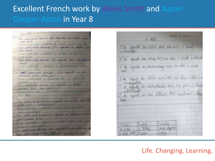# Excellent French work by Alexis Smith and Aaron Cooper-Aston in Year 8

ha fell I were and deriver get reports the were sur-Non port and Luthering & Housing the man The week-seat drenier The regards on their an and aver and a partition and a serious "He with and demity Jak regards the sale general Scene have considered a morried of advertising when Tellus 150 hotel · hear weavened demicr all regards on you fellowed with the fact. " Cash vere ered I footplant the 11 *Longham* "The week-earl dunies the mounts an action parties Avec non pero a fine warehoused a letter adapt. · Le son and dernier s'as regards une sieres per celost interessed a notice when the six the were not know the registe we down our Celoit bren the week-and shorter sharped the partition Mon four electric pass and

Murley S. Jame ta héle I've rejude in serie are no more. Celuik introfiles. I've synde in New Avec ma nee l'était institut I'd regards the documentary nest me not be take  $n \omega$ I'm regards un dessen mini Nes non dem-Flore Cé emergelex<br>J'al regade un sin placé time mon pire ( étaile wherestant.<br>We regardle us rese tillewise Avec countment (close  $b$ egn Examples Engles French Freeds Inducato In Sere in doitin once A Curbon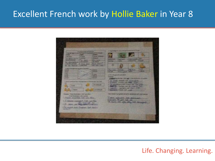# Excellent French work by Hollie Baker in Year 8

|                                                                                                                                                                                                                                                                                                                                                                                                                                                                                                                                                                                                                                                                                                                                                                                                                                                                                                                                                                                                                                                                                                                                                                      | . .                                                                                                                                                                                                                                                                                                                                                                                                                                                                                                                                                                                                                                                                                |
|----------------------------------------------------------------------------------------------------------------------------------------------------------------------------------------------------------------------------------------------------------------------------------------------------------------------------------------------------------------------------------------------------------------------------------------------------------------------------------------------------------------------------------------------------------------------------------------------------------------------------------------------------------------------------------------------------------------------------------------------------------------------------------------------------------------------------------------------------------------------------------------------------------------------------------------------------------------------------------------------------------------------------------------------------------------------------------------------------------------------------------------------------------------------|------------------------------------------------------------------------------------------------------------------------------------------------------------------------------------------------------------------------------------------------------------------------------------------------------------------------------------------------------------------------------------------------------------------------------------------------------------------------------------------------------------------------------------------------------------------------------------------------------------------------------------------------------------------------------------|
| <b>Company and an</b><br><b>Property of Across</b><br><b>Party State of A</b><br><b>SILLER SHOPLAND</b><br><b>STATISTICS</b><br><b>Party Co</b><br><b><i><u>Property</u></i></b><br>August 1987<br><b>Report Follows</b><br><b>ALCOHOL:</b><br><b>WILL FAMILY</b><br><b>Call Cherry</b><br><b>Part America</b><br><b>Stage District</b><br>or departure<br><b>BELLE DELLINERS</b><br><b>CALL COMPANY</b> AND INCOME.<br><b>War Winners</b><br><b>JUNEAU PROP</b><br><b>S. Marie Per</b><br><b>NEW YORK OF THE</b><br><b>JACKS</b><br><b>STATISTICS</b><br>$-$<br><b>STATISTICS</b><br>10 Beacon<br>State of<br>20,000<br>200<br><b>LEWIS</b><br>49.992<br>۰<br>49.95<br><b>Charles County</b><br>٠<br>it derest if accessing plays the phagmas private factours dark raw 1949.<br>m<br><b>Di-France 340</b><br>е<br><b>Tuesday</b><br><b><i>Patons</i></b><br><b>Contractor and</b><br><b>Enorgial Traine Surfament, Carl up with</b><br><b>Case Ganandee 200 Farmer</b><br>Charles are and the cards<br><b>Sales</b><br>1 Total interest for under<br>The most call into<br>42<br>and The mathy Cornel and<br>And moved that the program fact texture<br>and market | I that it that it commisses a proposed and it was<br>B<br><b>North Art &amp;</b><br><b>SCHOOL</b><br><b>PUBLIC</b><br><b>SPORT</b><br>of All or the goal with only stresses.<br><b>County</b><br>Authority brother, GM and Three by Press Associate<br>5 Dr. Allede, Hellands dave All Avenue Ch.<br>I Schools, Phone on Man. Links and<br>I The advertising with the project and Paul could<br>4-200 Mill To Big Jay 2, 150clf, Tel.<br>I controlled the best year you'll take<br>Constants, Area Ave Lands<br>than doorself programs and arriffs exchanges with your names?<br>a sense anterests that manages<br>Castlette The good Cult and<br>A reach the other star fast, and |
|                                                                                                                                                                                                                                                                                                                                                                                                                                                                                                                                                                                                                                                                                                                                                                                                                                                                                                                                                                                                                                                                                                                                                                      |                                                                                                                                                                                                                                                                                                                                                                                                                                                                                                                                                                                                                                                                                    |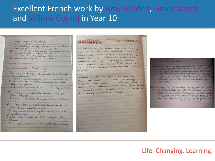# Excellent French work by Amy Golden, Grace Kasch and Willow Cound in Year 10

| Lt grand carge &    | Verhiland) "I several 164 Way                          |
|---------------------|--------------------------------------------------------|
|                     | world about your builday, and bank true detail         |
|                     | 1 - which you go - On wh were yessences ?              |
|                     | other will go with - Avec que par-tu ca bacantes.      |
|                     | 5- how you brend - Commer beyond - 66?                 |
| 4 TILBURN THAN 1994 | Julyer-th 7<br>3 where it was regiment - crit comment. |

### Seul = on my sun

### MUDWLE 3 Holmanys

- Microis en Espagne, parce que cist chaud et pitteresque
- I go to spain, hecause it is warm and pillurique 2) de pars en vacancis ance ma jamille par Sadore ma Jamille!
- I go with my family, because I Love my family!
- 3) It vegage per avoir Else armsont, porce que Jame Voyager-
- I trauch, on a flank this jun, because I like to
- 4) It loge, dans us hitch band de la mer et avec beaucauf the magasins practic
- I stay in a hold by the seaside isea, with lets of ohels nearing
- 5) Cat bien I parce que c'est tranquille et Charmet
- It is good because this gaint and relaxing

### houtday

PASSE MES VOCALIDES an envange - s'assanc **PHALE** nager en noût l'année dernière, su A SP anye awat called are mo grande sours reared of aviorine loga say notel somewhere the

woming I spend my houseys by the seals. I love swimming in August last year big Siants parents and my I reaver by prove and I stay in hotal c'esais great

### **ALL - Annual / Filthough**

and - im aller en expanse en corpores over not formally more, more bear-bere, mes profes, et socials in Haupigcoust for loss en division most comme, restitut delle une while monon at panelle de vocames il et gers grand pour mais los d'ouair une poure de nunt es chamber et c'est tres bon pour noire gronde popular Je l'aime!

mon per exerce, to speech on training as a percept in the mon-Shep doll, bromes and sistes I'm reasoning meet a place, we are going to be staying in a rate trade family hama it to big crossin it have some of our can soon and its acry apat for our on family I last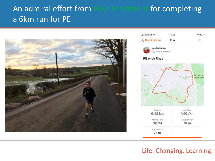# An admiral effort from Rhys Maidment for completing a 6km run for PE



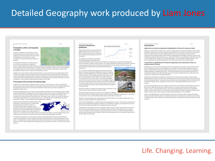# Detailed Geography work produced by Liam Jones

#### The projections of Elevents

### Demographics, politics, and topography of Slovakia.

Discussion in a lanetholdered, are stout \$ unsupergen symptoms burnishment the Produced Inc Sher provide, Schickheid for Sher treed Hungary bridles south and Auditio to the send, and the Couch Republic to the could used. It's pulle at magnitude an expertise last the capital in infamed as a Ret place.

The propolation of Silvation & S. 46, collect pergots, it Balculowy alow colore have been compared to

Dailyrals 18 to an Haghard concurrent serve of cardin, sole that worth. DTN of the possibility to these in Dief Daily programs those and Catholici and the other 20% do not. The CDF per years in \$5,442 STD - which is smoot 2 Phispanit black Thus integranting costing. It has some of the taxon \$100 came in this world which wisht place it in crago & of the demographic transition mater. The item rate is 1. All banks per average.

blooding feed short many transition of measurings of the teaching. It was a just of the Austra-Hangarian Empire, After world tear was in \$500. On except and absoluted, and Controllough and formad activities of the controlled bar auth the Corch Regulate and Dewales. Other a brief Ned ecoupation, it was part of the larger board intoon. After the collegion of the society copyrights in 1989. It was your of Constructionable for it grant and More was finally in its current convergence in 17 increase 1980. Several placed the Carrossen cause in 2006.

### The European Union and other international bodies

to 2004 His 23 year in Jargest eccumulation of nations is one go - 43 years this at once. Copyrig, Cook Regulation Extends, Hungary, Safete, Virtuannia, Malito, Folgost, Tennelis, and Stevensa att panel the SSI in the Asset teamstake of the political and accessors; selois. The sottopics of Soualachdo the European price reside a logar achiev of gialazination of 1kg country

Direction also adjusted the Sara as the rational common in 2007. The adjustice of an intermalaged common is availage step towards plotaticable of Minute), as the launtity adopts a minimization which is not affiliated with any own countries. Who also a parts of the Schengers axiss just most cauching in this 22 per. Visingary and Creatin are a time assegne of \$3 sources that are not part of the aveal. The faller gets case in area is an area which this chieves can healy tracel beneath without is you. presidented, the word is a new standard and a traditional learner and the typicalities of a salest - further builting tensoris the globalisation of biocene

Streams from also presed HeTO, the North Atlantic Trusts. Presidential Theo proved on the 24th of March 2004. slong with Mosenia and Romanto, NATED Links international editors allones originals will given shows that though of way was intensively curricult between the Sound Union and the capitalist nations in Europe and North America. As attack on one suiton of NATS is an



Tarm &

attack on of - this subscribe accurity infiltery alliance now contains many earliers in Europe and North America. The with provided by the countries of an alliance was prefixer togetheards the globalisation of Shoukia

The world trade erganization is an international, teamproven excelsive probable that regulates trade between countries and its purpose is to enthuse tariffs and other barriers which eak third or islikes inabi between excellent states. It is knowleast torned to Democra, Tachbottand. Student show the absence of the annot's sale organizables would lingt to an increase in manel badfit by 10 presentage counts (e.g., from 10 percent to 42%, or from 60 percent to 82%. generation

#### Almohable of South Economy of Stovekia and globalization

Source tal a prior of occasion growth from 2000 to 3000. It goes by \$3.45, is the year of 2007 aluso, Much of the country's industry has area plasticed and becoming much more of a **Road monitori** 

The foreign deput against an important of increased dramatically. Mosters office legit-

choop with alliked fatalour from its workers used a flot (195 kpc hats binsuning your face rate show not change with lecens at all, which a moting to foreign meeters such as beginnically ending companies. Many of these companies monoting are firmidy (24, 215), foreman (19, 430) and Austrian (16, 416). The state homest incent AAL Fashion (diseas) industry (38.4%), bushing and insurance (22.2%) and adminster and  $-0.046$  (13-25)

Kitching November 2004 months having changes a which have a production Surface in Storates, which previous 20100 prior directly to the senate of Shoutia, 9 prevides 205,000 cars per year which contributes to its labar auretery of masters 35.0% of Simultia's exercits are fully made cars, and If you include components, which majorer make a large preparation of this interded becames 30.0% of the experts. Germany are the higher receivers of those droppers, and Constitutes the serror inggest important Room Electrical Thild of clear that the brack to map by the system of the to display in the economy phases with the countries of the European countries and the prominity. Volkswage's objections a plant in Streakia where they manufacture miaris SUV vertrailes

Homeline has all should be a rinight by terrinour riserved excessing - 490% of the country assets in incident, and this contributor to CIV of the GDP.

Structure has been compared and a compared to the compared with the model and any transporter arts bot filosofiat but wir besige composite which stand behavior there), interapped Simulia screen at 7.543 withorn during per spior to reverses, and Kie Meltery Streetts krings in C.224 william Survis per years

Shouting to a reaper countries country. School is kept for \$1. PE of the CDF and your to capacity, puriting it at \$7" to the work! For percentage of 120° that is exported out fo pra-

The BDF index of globalization is a method of transcript from globalized a country in. This system and created by Red-Dollar at the Kingarita Principal politic of 274 Zarich, in Selforstand, Air of 2019, it massaged \$2.07 on the index. The RDF makes considers Struggles the RPF would globalized country in the world.

The globalisation of Sisoakia tous have sense it website. While it provides a negotive menuli tend to the accessive We stated to be concentrated to the citize. The Bratislave region (the region of the rapidal city and syntoceding) areas) to the length tool and must important region to the county indicated. It is so musetard double basing the animal creator pagebalics and the small at one. ADS of all the foreign monstreet is in the capital, leaving more of the after rigical tractivism

### Fluis applications and discounties **Exam questions**

### deplate how one country has responded to the globalisation of the world's economy (a maile)

Showitts is a receitors of the Surgeons Union - which is a political and executive group of Surgeons countries, Mach of Standist Lease to be to \$1 countries. Monito has also advance that from ratio it is the official content of the \$17 that reach countries of the union have adopted threspring to aim to really greating to rach country reachsubsistant and economically undy his countries within. Showble exports around 80% of Ar 520 per year, this is his-8" logitud janssenge of (23) superiori jan por - which shows finsalite is a ony globaliser country with a sing spon market. Silvation plus for low labour costs for high-oblied labour - this is adductive to having conseiled as it can write as a good plane for executations plants for insite of the rich European radiots around Smooth

liam it.

#### To what extent cars globalisation be considered an opportunity, and to what extent a threat, to a realizional acconomy? (di munka).

Distribution in contracts the first and the form of foreign transit transit for the final commentations, which will office could be that this companies isolating a manufacturing plant or upon affices in a season which provide into buring tests people, and printifully most being more alreals who the foreigns through your country to be more to the first of the files of the workers impating or revegasing one the step - and if hashly proticed may be two assifts fronting. Jobs antiinstituctional consolitions can after after parties and occur yout for people that develop that they have been of moves cost are writing to pay for high-stoked between a

Shokalisation count load to many migration of progressive based that subserving the analyse country for better adolding conditions and pay. This may lead to select exployment in certain expansion, but her reducing the areas of of pilo, exclusings insertional - and conseil points who possibly not and knowing the GDA of a station, While the will be refer the people tital are intergrating out of the country. It will expatienty affect their basis country's

Countries with charge labour data cause companies to abundant HIC's and styles Work deputy/building and assessor to MED and USA Military Historical collects the counter of side to care countries. It will increase this maintent of price in constitues counsing. It cand sended payments all that in mostly of the recording with manager in China, the detector things, and alter folds countries - the reduce the mandel of pats in HDs foremen it discreases the article of the products as falses costs are much sharper in compared will pay possibly later to LES and MEECs.

Dental, I Blok philadisel par has since it compares at As conveners, but assess). I think it assessments brooks allowing most jobs worklaste. and most secretable greats franks to causeling twee willing to trade. Thusands, It can be all to larger income inneality as multilestimal conservations can market for views take a with poor working caracterizati

Life. Changing. Learning.



105.9 Islam USD (2018)





 $i$  and  $i$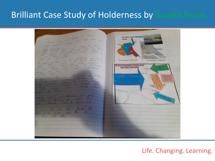# Brilliant Case Study of Holderness by Gareth Evans

**Flaminorum Edmond CONVERTIBUTER Mittada Maa al** III mit 14 Joshal ha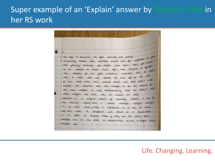# Super example of an 'Explain' answer by Phoebe Crabb in her RS work

2 The right to education, The right marriage and jamily<br>3 christianity teaches max christians should 'cove you neighborh as you cristianity tracriss more christians should love you have you curricult to be trained no metter their oge, rate, religion or gendal. evented no matter their age, note, religions as there The was a man who was beaten up and ligt at the side of the road three men wasked passed with and dictrit will newer me simentin who was maight to be an incong of the man stopped to nelp demonstrating that he didn't call what religion the man was he needed his help. simpson is a reigion pased of equality (which is one of the numer rights aris is shown through larger Larger 15 a sikh meal, that a vegitarian, so it can be called by all there is perspored and strived in a Gurdware. It is open to anyone leven if they are not sike) and weapon sits on the floor to demonstrate no one is higher than anyone else.